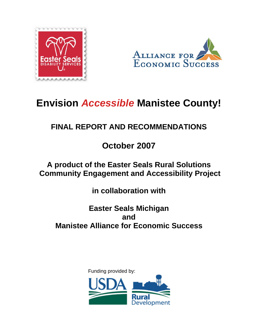



# **Envision** *Accessible* **Manistee County!**

## **FINAL REPORT AND RECOMMENDATIONS**

## **October 2007**

### **A product of the Easter Seals Rural Solutions Community Engagement and Accessibility Project**

**in collaboration with** 

### **Easter Seals Michigan and Manistee Alliance for Economic Success**

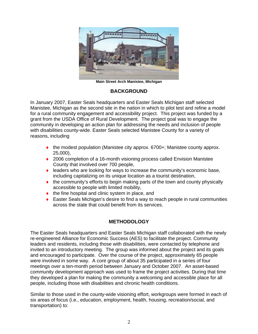

**Main Street Arch Manistee, Michigan** 

#### **BACKGROUND**

In January 2007, Easter Seals headquarters and Easter Seals Michigan staff selected Manistee, Michigan as the second site in the nation in which to pilot test and refine a model for a rural community engagement and accessibility project. This project was funded by a grant from the USDA Office of Rural Development. The project goal was to engage the community in developing an action plan for addressing the needs and inclusion of people with disabilities county-wide. Easter Seals selected Manistee County for a variety of reasons, including

- $\bullet$  the modest population (Manistee city approx. 6700+; Manistee county approx. 25,000),
- ◆ 2006 completion of a 16-month visioning process called Envision Manistee County that involved over 700 people,
- ♦ leaders who are looking for ways to increase the community's economic base, including capitalizing on its unique location as a tourist destination,
- ♦ the community's efforts to begin making parts of the town and county physically accessible to people with limited mobility,
- $\bullet$  the fine hospital and clinic system in place, and
- ♦ Easter Seals Michigan's desire to find a way to reach people in rural communities across the state that could benefit from its services.

#### **METHODOLOGY**

The Easter Seals headquarters and Easter Seals Michigan staff collaborated with the newly re-engineered Alliance for Economic Success (AES) to facilitate the project. Community leaders and residents, including those with disabilities, were contacted by telephone and invited to an introductory meeting. The group was informed about the project and its goals and encouraged to participate. Over the course of the project, approximately 65 people were involved in some way. A core group of about 35 participated in a series of four meetings over a ten-month period between January and October 2007. An asset-based community development approach was used to frame the project activities. During that time they developed a plan for making the community a welcoming and accessible place for all people, including those with disabilities and chronic health conditions.

Similar to those used in the county-wide visioning effort, workgroups were formed in each of six areas of focus (i.e., education, employment, health, housing, recreation/social, and transportation) to: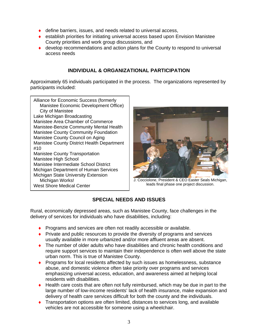- ♦ define barriers, issues, and needs related to universal access,
- $\bullet$  establish priorities for initiating universal access based upon Envision Manistee County priorities and work group discussions, and
- ◆ develop recommendations and action plans for the County to respond to universal access needs

#### **INDIVIDUAL & ORGANIZATIONAL PARTICIPATION**

Approximately 65 individuals participated in the process. The organizations represented by participants included:

Alliance for Economic Success (formerly Manistee Economic Development Office) City of Manistee Lake Michigan Broadcasting Manistee Area Chamber of Commerce Manistee-Benzie Community Mental Health Manistee County Community Foundation Manistee County Council on Aging Manistee County District Health Department #10 Manistee County Transportation Manistee High School Manistee Intermediate School District Michigan Department of Human Services Michigan State University Extension Michigan Works! West Shore Medical Center



J. Cocciolone, President & CEO Easter Seals Michigan, leads final phase one project discussion.

#### **SPECIAL NEEDS AND ISSUES**

Rural, economically depressed areas, such as Manistee County, face challenges in the delivery of services for individuals who have disabilities, including:

- ♦ Programs and services are often not readily accessible or available.
- ♦ Private and public resources to provide the diversity of programs and services usually available in more urbanized and/or more affluent areas are absent.
- ♦ The number of older adults who have disabilities and chronic health conditions and require support services to maintain their independence is often well above the state urban norm. This is true of Manistee County.
- ♦ Programs for local residents affected by such issues as homelessness, substance abuse, and domestic violence often take priority over programs and services emphasizing universal access, education, and awareness aimed at helping local residents with disabilities.
- ♦ Health care costs that are often not fully reimbursed, which may be due in part to the large number of low-income residents' lack of health insurance, make expansion and delivery of health care services difficult for both the county and the individuals.
- ♦ Transportation options are often limited, distances to services long, and available vehicles are not accessible for someone using a wheelchair.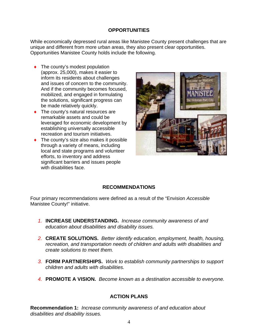#### **OPPORTUNITIES**

While economically depressed rural areas like Manistee County present challenges that are unique and different from more urban areas, they also present clear opportunities. Opportunities Manistee County holds include the following.

- $\bullet$  The county's modest population (approx. 25,000), makes it easier to inform its residents about challenges and issues of concern to the community. And if the community becomes focused, mobilized, and engaged in formulating the solutions, significant progress can be made relatively quickly.
- ♦ The county's natural resources are remarkable assets and could be leveraged for economic development by establishing universally accessible recreation and tourism initiatives.
- $\bullet$  The county's size also makes it possible through a variety of means, including local and state programs and volunteer efforts, to inventory and address significant barriers and issues people with disabilities face.



#### **RECOMMENDATIONS**

Four primary recommendations were defined as a result of the "Envision *Accessible* Manistee County!" initiative.

- *1.* **INCREASE UNDERSTANDING.** *Increase community awareness of and education about disabilities and disability issues.*
- *2.* **CREATE SOLUTIONS.** *Better identify education, employment, health, housing, recreation, and transportation needs of children and adults with disabilities and create solutions to meet them.*
- *3.* **FORM PARTNERSHIPS.** *Work to establish community partnerships to support children and adults with disabilities.*
- *4.* **PROMOTE A VISION.** *Become known as a destination accessible to everyone.*

#### **ACTION PLANS**

**Recommendation 1:** *Increase community awareness of and education about disabilities and disability issues.*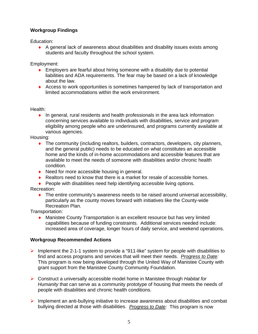#### **Workgroup Findings**

Education:

♦ A general lack of awareness about disabilities and disability issues exists among students and faculty throughout the school system.

Employment:

- $\bullet$  Employers are fearful about hiring someone with a disability due to potential liabilities and ADA requirements. The fear may be based on a lack of knowledge about the law.
- ♦ Access to work opportunities is sometimes hampered by lack of transportation and limited accommodations within the work environment.

Health:

♦ In general, rural residents and health professionals in the area lack information concerning services available to individuals with disabilities, service and program eligibility among people who are underinsured, and programs currently available at various agencies.

Housing:

- ♦ The community (including realtors, builders, contractors, developers, city planners, and the general public) needs to be educated on what constitutes an accessible home and the kinds of in-home accommodations and accessible features that are available to meet the needs of someone with disabilities and/or chronic health condition.
- ◆ Need for more accessible housing in general.
- $\bullet$  Realtors need to know that there is a market for resale of accessible homes.
- ♦ People with disabilities need help identifying accessible living options.

Recreation:

♦ The entire community's awareness needs to be raised around universal accessibility, particularly as the county moves forward with initiatives like the County-wide Recreation Plan.

Transportation:

♦ Manistee County Transportation is an excellent resource but has very limited capabilities because of funding constraints. Additional services needed include: increased area of coverage, longer hours of daily service, and weekend operations.

#### **Workgroup Recommended Actions**

- $\triangleright$  Implement the 2-1-1 system to provide a "911-like" system for people with disabilities to find and access programs and services that will meet their needs. *Progress to Date:*  This program is now being developed through the United Way of Manistee County with grant support from the Manistee County Community Foundation.
- ¾ Construct a universally accessible model home in Manistee through *Habitat for Humanity* that can serve as a community prototype of housing that meets the needs of people with disabilities and chronic health conditions.
- $\triangleright$  Implement an anti-bullying initiative to increase awareness about disabilities and combat bullying directed at those with disabilities. *Progress to Date:* This program is now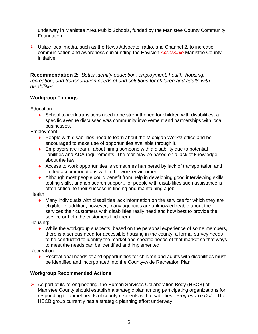underway in Manistee Area Public Schools, funded by the Manistee County Community Foundation.

 $\triangleright$  Utilize local media, such as the News Advocate, radio, and Channel 2, to increase communication and awareness surrounding the Envision *Accessible* Manistee County! initiative.

**Recommendation 2:** *Better identify education, employment, health, housing, recreation, and transportation needs of and solutions for children and adults with disabilities.* 

#### **Workgroup Findings**

Education:

 $\bullet$  School to work transitions need to be strengthened for children with disabilities; a specific avenue discussed was community involvement and partnerships with local businesses.

Employment:

- ♦ People with disabilities need to learn about the Michigan Works! office and be encouraged to make use of opportunities available through it.
- ♦ Employers are fearful about hiring someone with a disability due to potential liabilities and ADA requirements. The fear may be based on a lack of knowledge about the law.
- ♦ Access to work opportunities is sometimes hampered by lack of transportation and limited accommodations within the work environment.
- ♦ Although most people could benefit from help in developing good interviewing skills, testing skills, and job search support, for people with disabilities such assistance is often critical to their success in finding and maintaining a job.

Health:

 $\bullet$  Many individuals with disabilities lack information on the services for which they are eligible. In addition, however, many agencies are unknowledgeable about the services their customers with disabilities really need and how best to provide the service or help the customers find them.

Housing:

 $\bullet$  While the workgroup suspects, based on the personal experience of some members, there is a serious need for accessible housing in the county, a formal survey needs to be conducted to identify the market and specific needs of that market so that ways to meet the needs can be identified and implemented.

Recreation:

♦ Recreational needs of and opportunities for children and adults with disabilities must be identified and incorporated into the County-wide Recreation Plan.

#### **Workgroup Recommended Actions**

 $\triangleright$  As part of its re-engineering, the Human Services Collaboration Body (HSCB) of Manistee County should establish a strategic plan among participating organizations for responding to unmet needs of county residents with disabilities. *Progress To Date:* The HSCB group currently has a strategic planning effort underway.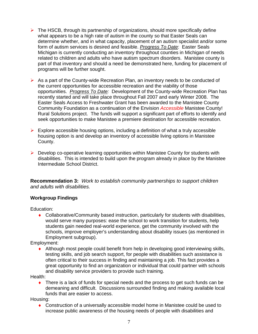- $\triangleright$  The HSCB, through its partnership of organizations, should more specifically define what appears to be a high rate of autism in the county so that Easter Seals can determine whether, and in what capacity, placement of an autism specialist and/or some form of autism services is desired and feasible. *Progress To Date*: Easter Seals Michigan is currently conducting an inventory throughout counties in Michigan of needs related to children and adults who have autism spectrum disorders. Manistee county is part of that inventory and should a need be demonstrated here, funding for placement of programs will be further sought.
- $\triangleright$  As a part of the County-wide Recreation Plan, an inventory needs to be conducted of the current opportunities for accessible recreation and the viability of those opportunities. *Progress To Date:* Development of the County-wide Recreation Plan has recently started and will take place throughout Fall 2007 and early Winter 2008. The Easter Seals Access to Freshwater Grant has been awarded to the Manistee County Community Foundation as a continuation of the Envision *Accessible* Manistee County! Rural Solutions project. The funds will support a significant part of efforts to identify and seek opportunities to make Manistee a premiere destination for accessible recreation.
- $\triangleright$  Explore accessible housing options, including a definition of what a truly accessible housing option is and develop an inventory of accessible living options in Manistee County.
- $\triangleright$  Develop co-operative learning opportunities within Manistee County for students with disabilities. This is intended to build upon the program already in place by the Manistee Intermediate School District.

**Recommendation 3:** *Work to establish community partnerships to support children and adults with disabilities.* 

#### **Workgroup Findings**

Education:

♦ Collaborative/Community based instruction, particularly for students with disabilities, would serve many purposes: ease the school to work transition for students, help students gain needed real-world experience, get the community involved with the schools, improve employer's understanding about disability issues (as mentioned in Employment subgroup).

Employment:

♦ Although most people could benefit from help in developing good interviewing skills, testing skills, and job search support, for people with disabilities such assistance is often critical to their success in finding and maintaining a job. This fact provides a great opportunity to find an organization or individual that could partner with schools and disability service providers to provide such training.

Health:

 $\bullet$  There is a lack of funds for special needs and the process to get such funds can be demeaning and difficult. Discussions surrounded finding and making available local funds that are easier to access.

Housing:

♦ Construction of a universally accessible model home in Manistee could be used to increase public awareness of the housing needs of people with disabilities and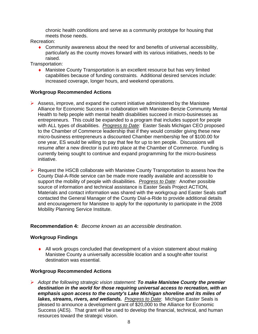chronic health conditions and serve as a community prototype for housing that meets those needs.

Recreation:

 $\bullet$  Community awareness about the need for and benefits of universal accessibility, particularly as the county moves forward with its various initiatives, needs to be raised.

Transportation:

♦ Manistee County Transportation is an excellent resource but has very limited capabilities because of funding constraints. Additional desired services include: increased coverage, longer hours, and weekend operations.

#### **Workgroup Recommended Actions**

- $\triangleright$  Assess, improve, and expand the current initiative administered by the Manistee Alliance for Economic Success in collaboration with Manistee-Benzie Community Mental Health to help people with mental health disabilities succeed in micro-businesses as entrepreneurs. This could be expanded to a program that includes support for people with ALL types of disabilities. *Progress to Date:* Easter Seals Michigan CEO proposed to the Chamber of Commerce leadership that if they would consider giving these new micro-business entrepreneurs a discounted Chamber membership fee of \$100.00 for one year, ES would be willing to pay that fee for up to ten people. Discussions will resume after a new director is put into place at the Chamber of Commerce. Funding is currently being sought to continue and expand programming for the micro-business initiative.
- $\triangleright$  Request the HSCB collaborate with Manistee County Transportation to assess how the County Dial-A-Ride service can be made more readily available and accessible to support the mobility of people with disabilities. *Progress to Date:* Another possible source of information and technical assistance is Easter Seals Project ACTION, Materials and contact information was shared with the workgroup and Easter Seals staff contacted the General Manager of the County Dial-a-Ride to provide additional details and encouragement for Manistee to apply for the opportunity to participate in the 2008 Mobility Planning Service Institute.

#### **Recommendation 4:** *Become known as an accessible destination.*

#### **Workgroup Findings**

• All work groups concluded that development of a vision statement about making Manistee County a universally accessible location and a sought-after tourist destination was essential.

#### **Workgroup Recommended Actions**

¾ *Adopt the following strategic vision statement: To make Manistee County the premier destination in the world for those requiring universal access to recreation, with an emphasis upon access to the county's Lake Michigan shoreline and its miles of lakes, streams, rivers, and wetlands. Progress to Date*: Michigan Easter Seals is pleased to announce a development grant of \$20,000 to the Alliance for Economic Success (AES). That grant will be used to develop the financial, technical, and human resources toward the strategic vision.